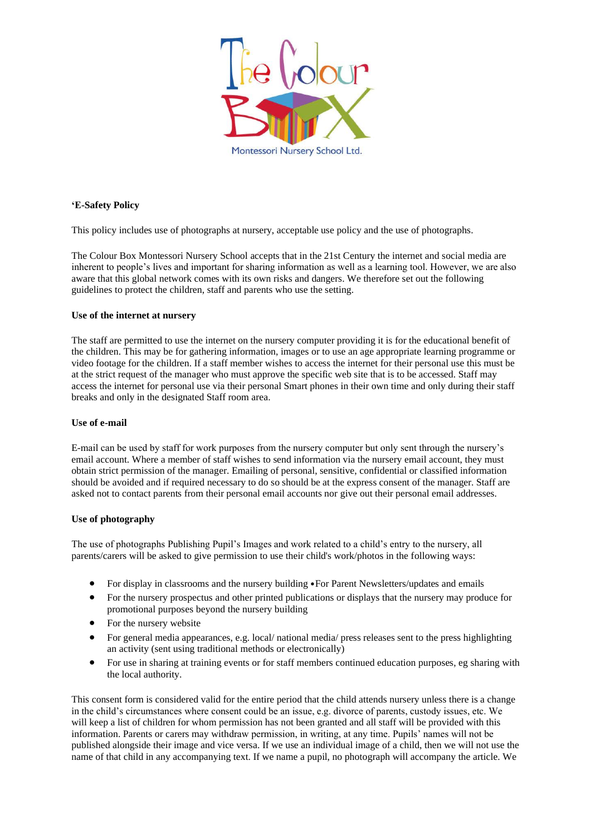

## **'E-Safety Policy**

This policy includes use of photographs at nursery, acceptable use policy and the use of photographs.

The Colour Box Montessori Nursery School accepts that in the 21st Century the internet and social media are inherent to people's lives and important for sharing information as well as a learning tool. However, we are also aware that this global network comes with its own risks and dangers. We therefore set out the following guidelines to protect the children, staff and parents who use the setting.

### **Use of the internet at nursery**

The staff are permitted to use the internet on the nursery computer providing it is for the educational benefit of the children. This may be for gathering information, images or to use an age appropriate learning programme or video footage for the children. If a staff member wishes to access the internet for their personal use this must be at the strict request of the manager who must approve the specific web site that is to be accessed. Staff may access the internet for personal use via their personal Smart phones in their own time and only during their staff breaks and only in the designated Staff room area.

#### **Use of e-mail**

E-mail can be used by staff for work purposes from the nursery computer but only sent through the nursery's email account. Where a member of staff wishes to send information via the nursery email account, they must obtain strict permission of the manager. Emailing of personal, sensitive, confidential or classified information should be avoided and if required necessary to do so should be at the express consent of the manager. Staff are asked not to contact parents from their personal email accounts nor give out their personal email addresses.

#### **Use of photography**

The use of photographs Publishing Pupil's Images and work related to a child's entry to the nursery, all parents/carers will be asked to give permission to use their child's work/photos in the following ways:

- For display in classrooms and the nursery building •For Parent Newsletters/updates and emails
- For the nursery prospectus and other printed publications or displays that the nursery may produce for promotional purposes beyond the nursery building
- For the nursery website
- For general media appearances, e.g. local/ national media/ press releases sent to the press highlighting an activity (sent using traditional methods or electronically)
- For use in sharing at training events or for staff members continued education purposes, eg sharing with the local authority.

This consent form is considered valid for the entire period that the child attends nursery unless there is a change in the child's circumstances where consent could be an issue, e.g. divorce of parents, custody issues, etc. We will keep a list of children for whom permission has not been granted and all staff will be provided with this information. Parents or carers may withdraw permission, in writing, at any time. Pupils' names will not be published alongside their image and vice versa. If we use an individual image of a child, then we will not use the name of that child in any accompanying text. If we name a pupil, no photograph will accompany the article. We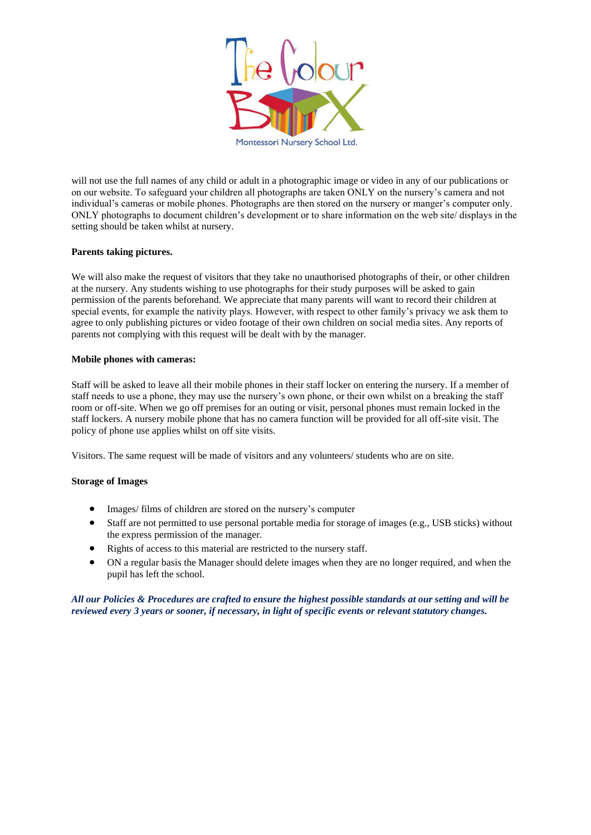

will not use the full names of any child or adult in a photographic image or video in any of our publications or on our website. To safeguard your children all photographs are taken ONLY on the nursery's camera and not individual's cameras or mobile phones. Photographs are then stored on the nursery or manger's computer only. ONLY photographs to document children's development or to share information on the web site/ displays in the

# **Parents taking pictures.**

setting should be taken whilst at nursery.

We will also make the request of visitors that they take no unauthorised photographs of their, or other children at the nursery. Any students wishing to use photographs for their study purposes will be asked to gain permission of the parents beforehand. We appreciate that many parents will want to record their children at special events, for example the nativity plays. However, with respect to other family's privacy we ask them to agree to only publishing pictures or video footage of their own children on social media sites. Any reports of parents not complying with this request will be dealt with by the manager.

## **Mobile phones with cameras:**

Staff will be asked to leave all their mobile phones in their staff locker on entering the nursery. If a member of staff needs to use a phone, they may use the nursery's own phone, or their own whilst on a breaking the staff room or off-site. When we go off premises for an outing or visit, personal phones must remain locked in the staff lockers. A nursery mobile phone that has no camera function will be provided for all off-site visit. The policy of phone use applies whilst on off site visits.

Visitors. The same request will be made of visitors and any volunteers/ students who are on site.

## **Storage of Images**

- Images/ films of children are stored on the nursery's computer
- Staff are not permitted to use personal portable media for storage of images (e.g., USB sticks) without the express permission of the manager.
- Rights of access to this material are restricted to the nursery staff.
- ON a regular basis the Manager should delete images when they are no longer required, and when the pupil has left the school.

*All our Policies & Procedures are crafted to ensure the highest possible standards at our setting and will be reviewed every 3 years or sooner, if necessary, in light of specific events or relevant statutory changes.*